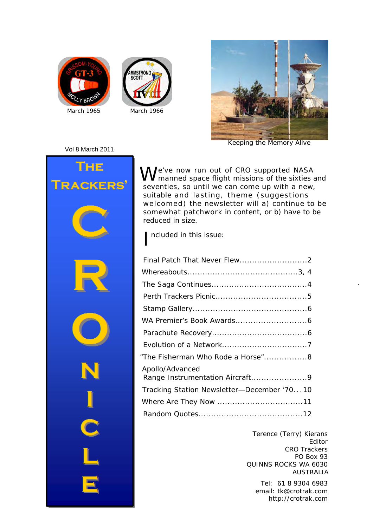





*Keeping the Memory Alive*

#### Vol 8 March 2011



We've now run out of CRO supported NASA<br>W<br/>manned space flight missions of the sixties and seventies, so until we can come up with a new, suitable and lasting, theme (suggestions welcomed) the newsletter will a) continue to be somewhat patchwork in content, or b) have to be reduced in size.

I ncluded in this issue:

| "The Fisherman Who Rode a Horse"8                  |
|----------------------------------------------------|
| Apollo/Advanced<br>Range Instrumentation Aircraft9 |
| Tracking Station Newsletter-December '7010         |
|                                                    |
|                                                    |

Terence (Terry) Kierans Editor CRO Trackers PO Box 93 QUINNS ROCKS WA 6030 AUSTRALIA

> Tel: 61 8 9304 6983 http://crotrak.com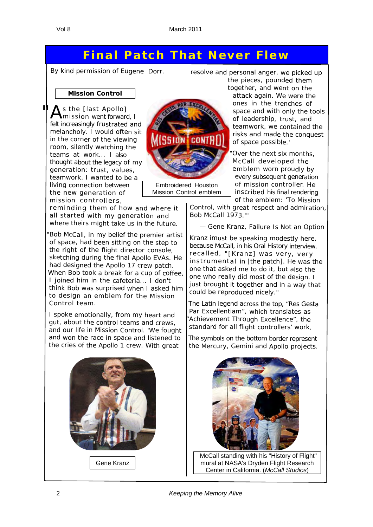### **Final Patch That Never Flew**

*By kind permission of Eugene Dorr.*

**Mission Control**

s the [last Apollo] mission went forward, I felt increasingly frustrated and melancholy. I would often sit in the corner of the viewing room, silently watching the teams at work... I also thought about the legacy of my generation: trust, values, teamwork. I wanted to be a living connection between the new generation of mission controllers,

reminding them of how and where it all started with my generation and where theirs might take us in the future.

"Bob McCall, in my belief the premier artist of space, had been sitting on the step to the right of the flight director console, sketching during the final Apollo EVAs. He had designed the Apollo <sup>17</sup> crew patch. When Bob took <sup>a</sup> break for <sup>a</sup> cup of coffee, I joined him in the cafeteria... I don't think Bob was surprised when I asked him to design an emblem for the Mission Control team.

<sup>I</sup> spoke emotionally, from my heart and gut, about the control teams and crews, and our life in Mission Control. 'We fought and won the race in space and listened to the cries of the Apollo <sup>1</sup> crew. With great





Embroidered Houston Mission Control emblem

resolve and personal anger, we picked up the pieces, pounded them

together, and went on the attack again. We were the ones in the trenches of space and with only the tools of leadership, trust, and teamwork, we contained the risks and made the conquest of space possible.'

"Over the next six months, McCall developed the emblem worn proudly by every subsequent generation of mission controller. He inscribed his final rendering of the emblem: '*To Mission*

*Control, with great respect and admiration, Bob McCall 1973.*'"

— Gene Kranz, *Failure Is Not an Option*

Kranz imust be speaking modestly here, because McCall, in his Oral History interview, recalled, "[Kranz] was very, very instrumental in [the patch]. He was the one that asked me to do it, but also the one who really did most of the design. <sup>I</sup> just brought it together and in <sup>a</sup> way that could be reproduced nicely."

The Latin legend across the top, "*Res Gesta Par Excellentiam*", which translates as "*Achievement Through Excellence*", the standard for all flight controllers' work.

The symbols on the bottom border represent the Mercury, Gemini and Apollo projects.



McCall standing with his "History of Flight" mural at NASA's Dryden Flight Research Center in California. (*McCall Studios*)

2 *Keeping the Memory Alive*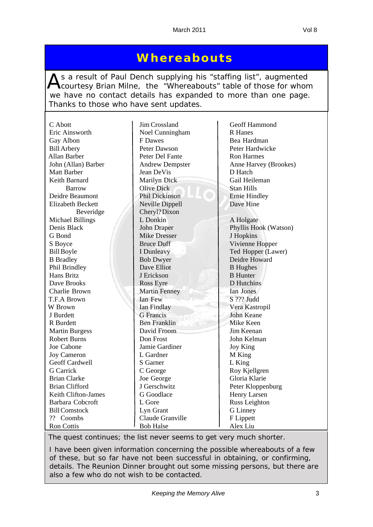## **Whereabouts**

As a result of Paul Dench supplying his "staffing list", augmented<br>Courtesy Brian Milne, the "Whereabouts" table of those for whom we have no contact details has expanded to more than one page. Thanks to those who have sent updates.

| C Abott                  | Jim Crossland          | Geoff Hammond                       |
|--------------------------|------------------------|-------------------------------------|
| Eric Ainsworth           | Noel Cunningham        | <b>R</b> Hanes                      |
| Gay Albon                | F Dawes                | Bea Hardman                         |
| <b>Bill Arbery</b>       | Peter Dawson           | Peter Hardwicke                     |
| Allan Barber             | Peter Del Fante        | <b>Ron Harmes</b>                   |
| John (Allan) Barber      | <b>Andrew Dempster</b> | Anne Harvey (Brookes)               |
| <b>Matt Barber</b>       | Jean DeVis             | D Hatch                             |
| Keith Barnard            | Marilyn Dick           | Gail Heileman                       |
| <b>Barrow</b>            | <b>Olive Dick</b>      | <b>Stan Hills</b>                   |
| Deidre Beaumont          | Phil Dickinson         | <b>Ernie Hindley</b>                |
| <b>Elizabeth Beckett</b> | Neville Dippell        | Dave Hine                           |
| Beveridge                | Cheryl? Dixon          |                                     |
| <b>Michael Billings</b>  | L Donkin               | A Holgate                           |
| Denis Black              | John Draper            | Phyllis Hook (Watson)               |
| G Bond                   | <b>Mike Dresser</b>    | J Hopkins                           |
|                          | <b>Bruce Duff</b>      |                                     |
| S Boyce                  |                        | Vivienne Hopper                     |
| <b>Bill Boyle</b>        | I Dunleavy             | Ted Hopper (Lawer)<br>Deidre Howard |
| <b>B</b> Bradley         | <b>Bob Dwyer</b>       |                                     |
| Phil Brindley            | Dave Elliot            | <b>B</b> Hughes                     |
| Hans Britz               | J Erickson             | <b>B</b> Hunter                     |
| Dave Brooks              | <b>Ross Eyre</b>       | D Hutchins                          |
| Charlie Brown            | <b>Martin Fenney</b>   | Ian Jones                           |
| T.F.A Brown              | Ian Few                | S ??? Judd                          |
| W Brown                  | Ian Findlay            | Vera Kastropil                      |
| J Burdett                | <b>G</b> Francis       | <b>John Keane</b>                   |
| R Burdett                | <b>Ben Franklin</b>    | Mike Keen                           |
| <b>Martin Burgess</b>    | David Froom            | Jim Keenan                          |
| <b>Robert Burns</b>      | Don Frost              | John Kelman                         |
| Joe Cabone               | Jamie Gardiner         | <b>Joy King</b>                     |
| <b>Joy Cameron</b>       | L Gardner              | M King                              |
| Geoff Cardwell           | S Garner               | L King                              |
| <b>G</b> Carrick         | C George               | Roy Kjellgren                       |
| <b>Brian Clarke</b>      | Joe George             | Gloria Klarie                       |
| <b>Brian Clifford</b>    | J Gerschwitz           | Peter Kloppenburg                   |
| Keith Clifton-James      | G Goodlace             | Henry Larsen                        |
| Barbara Cobcroft         | L Gore                 | Russ Leighton                       |
| <b>Bill Comstock</b>     | Lyn Grant              | <b>G</b> Linney                     |
| ?? Coombs                | Claude Granville       | F Lippett                           |
| <b>Ron Cottis</b>        | <b>Bob Halse</b>       | Alex Liu                            |

*The quest continues; the list never seems to get very much shorter.*

*I have been given information concerning the possible whereabouts of a few of these, but so far have not been successful in obtaining, or confirming, details. The Reunion Dinner brought out some missing persons, but there are also a few who do not wish to be contacted.*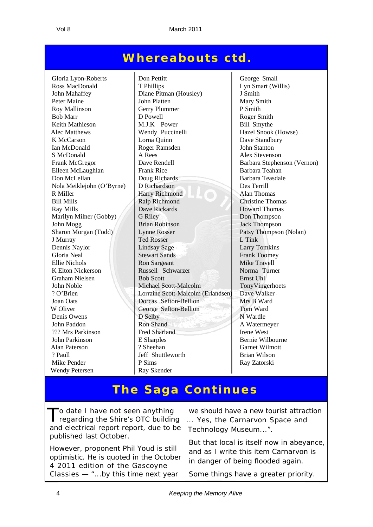## **Whereabouts ctd.**

Ian McDonald Roger Ramsden Nola Meiklejohn  $(O'Byrne)$  D Richardson K Elton Nickerson Russell Schwarzer W Oliver George Sefton-Bellion Wendy Petersen Ray Skender

Gloria Lyon-Roberts | Don Pettitt | George Small Ross MacDonald T Phillips Lyn Smart (Willis) John Mahaffey Diane Pitman (Housley) J Smith Peter Maine John Platten Mary Smith Roy Mallinson Gerry Plummer P Smith Bob Marr D Powell Roger Smith Keith Mathieson M.J.K Power Bill Smythe Alec Matthews Wendy Puccinelli Hazel Snook (Howse) K McCarson Lorna Quinn<br>
Lorna Quinn<br>
Roger Ramsden John Stanton<br>
John Stanton S McDonald A Rees Alex Stevenson Frank McGregor **Dave Rendell** Barbara Stephenson (Vernon) Eileen McLaughlan Frank Rice Barbara Teahan Don McLellan Doug Richards Barbara Teasdale<br>
David Meikleichn (O'Byrne) DRichardson<br>
DRichardson<br>
Des Terrill R Miller **Harry Richmond** Alan Thomas Bill Mills Ralp Richmond Christine Thomas Ray Mills **Ray Mills** Dave Rickards **Howard Thomas** Marilyn Milner (Gobby) G Riley Don Thompson<br>
John Mogg<br>
Jack Thompson<br>
Jack Thompson John Mogg Brian Robinson Jack Thompson Sharon Morgan (Todd) Lynne Rosser Patsy Thompson (Nolan) J Murray Ted Rosser L Tink Dennis Naylor Lindsay Sage Larry Tomkins Gloria Neal Stewart Sands Frank Toomey Ellie Nichols<br>
K Elton Nickerson Russell Schwarzer Mike Travell<br>
Russell Schwarzer Norma Turner Graham Nielsen Bob Scott Ernst Uhl John Noble Michael Scott-Malcolm TonyVingerhoets ? O'Brien Lorraine Scott-Malcolm (Erlandsen) Dave Walker Joan Oats Dorcas Sefton-Bellion Mrs B Ward Denis Owens D Selby N Wardle John Paddon Ron Shand Ron Shand A Watermeyer ??? Mrs Parkinson Fred Sharland Irene West John Parkinson E Sharples Bernie Wilbourne Alan Paterson ? Sheehan Garnet Wilmott ? Paull Jeff Shuttleworth Brian Wilson Mike Pender P Sims Ray Zatorski

## **The Saga Continues**

To date I have not seen anything<br>
Tregarding the Shire's OTC building and electrical report report, due to be published last October.

However, proponent Phil Youd is still optimistic. He is quoted in the October 4 2011 edition of the Gascoyne Classies — "*...by this time next year* 

*we should have a new tourist attraction ... Yes, the Carnarvon Space and Technology Museum...*".

But that local is itself now in abeyance, and as I write this item Carnarvon is in danger of being flooded again.

Some things have a greater priority.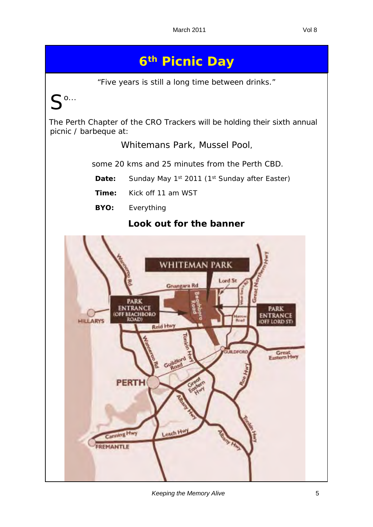# **6th Picnic Day**

"*Five years is still a long time between drinks.*"

 $\bullet$  0...

The Perth Chapter of the CRO Trackers will be holding their sixth annual picnic / barbeque at:

Whitemans Park, Mussel Pool,

some 20 kms and 25 minutes from the Perth CBD.

**Date:** Sunday May 1<sup>st</sup> 2011 (1<sup>st</sup> Sunday after Easter)

 **Time:** Kick off 11 am WST

 **BYO:** Everything

### **Look out for the banner**

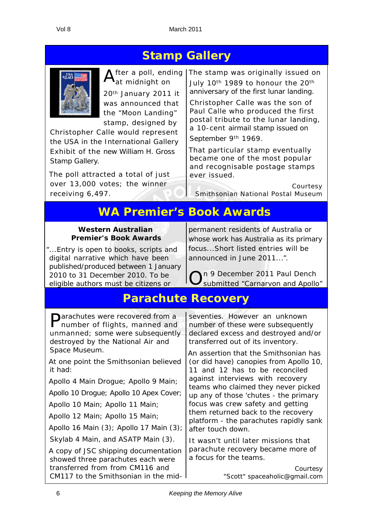## **Stamp Gallery**



at midnight on 20th January 2011 it

was announced that the "*Moon Landing*" stamp, designed by

Christopher Calle would represent the USA in the International Gallery Exhibit of the new William H. Gross Stamp Gallery.

The poll attracted a total of just over 13,000 votes; the winner receiving 6,497.

After a poll, ending The stamp was originally issued on  $A_{\text{at}}$  midnight on  $A_{\text{in}}$  July 10<sup>th</sup> 1989 to honour the 20<sup>th</sup> July 10<sup>th</sup> 1989 to honour the 20<sup>th</sup> anniversary of the first lunar landing.

> Christopher Calle was the son of Paul Calle who produced the first postal tribute to the lunar landing, a 10-cent airmail stamp issued on September 9<sup>th</sup> 1969.

That particular stamp eventually became one of the most popular and recognisable postage stamps ever issued.

Courtesy *Smithsonian National Postal Museum*

## **WA Premier's Book Awards**

### **Western Australian Premier's Book Awards**

"...*Entry is open to books, scripts and digital narrative which have been published/produced between 1 January 2010 to 31 December 2010. To be eligible authors must be citizens or* 

*permanent residents of Australia or whose work has Australia as its primary focus*...*Short listed entries will be announced in June 2011*...".

On 9 December 2011 Paul Dench submitted *"Carnarvon and Apollo*"

## **Parachute Recovery**

Parachutes were recovered from a number of flights, manned and unmanned; some were subsequently destroyed by the National Air and Space Museum.

At one point the Smithsonian believed it had:

Apollo 4 Main Drogue; Apollo 9 Main;

Apollo 10 Drogue; Apollo 10 Apex Cover;

Apollo 10 Main; Apollo 11 Main;

Apollo 12 Main; Apollo 15 Main;

Apollo 16 Main (3); Apollo 17 Main (3);

Skylab 4 Main, and ASATP Main (3).

A copy of JSC shipping documentation showed three parachutes each were transferred from from CM116 and CM117 to the Smithsonian in the midseventies. However an unknown number of these were subsequently declared excess and destroyed and/or transferred out of its inventory.

An assertion that the Smithsonian has (or did have) canopies from Apollo 10, 11 and 12 has to be reconciled against interviews with recovery teams who claimed they never picked up any of those 'chutes - the primary focus was crew safety and getting them returned back to the recovery platform - the parachutes rapidly sank after touch down.

It wasn't until later missions that parachute recovery became more of a focus for the teams.

> Courtesy *"Scott" spaceaholic@gmail.com*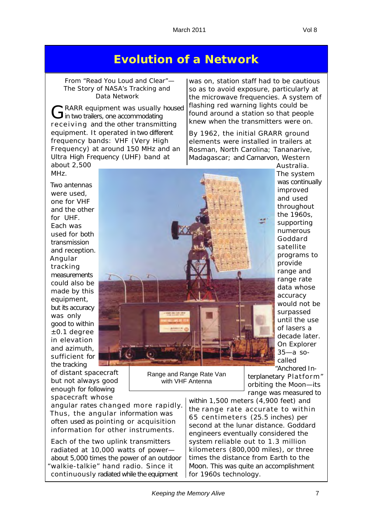### **Evolution of a Network**

From "*Read You Loud and Clear*"— The Story of NASA's Tracking and Data Network

GRARR equipment was usually housed<br> **G** in two trailers, one accommodating receiving and the other transmitting equipment. It operated in two different frequency bands: VHF (Very High Frequency) at around 150 MHz and an Ultra High Frequency (UHF) band at about 2,500

was on, station staff had to be cautious so as to avoid exposure, particularly at the microwave frequencies. A system of flashing red warning lights could be found around a station so that people knew when the transmitters were on.

By 1962, the initial GRARR ground elements were installed in trailers at Rosman, North Carolina; Tananarive, Madagascar; and Carnarvon, Western Australia.

MH<sub>z</sub> Two antennas were used, one for VHF and the other for UHF. Each was used for both transmission and reception. Angular tracking measurements could also be made by this equipment, but its accuracy was only good to within ±0.1 degree in elevation and azimuth, sufficient for the tracking

of distant spacecraft but not always good enough for following spacecraft whose

angular rates changed more rapidly. Thus, the angular information was often used as pointing or acquisition information for other instruments.

Each of the two uplink transmitters radiated at 10,000 watts of power about 5,000 times the power of an outdoor "walkie-talkie" hand radio. Since it continuously radiated while the equipment

was continually improved and used throughout the 1960s, supporting numerous Goddard satellite programs to provide range and range rate data whose accuracy would not be surpassed until the use of lasers a decade later. On Explorer 35—a socalled

The system

"Anchored Interplanetary Platform" orbiting the Moon—its range was measured to

within 1,500 meters (4,900 feet) and the range rate accurate to within 65 centimeters (25.5 inches) per second at the lunar distance. Goddard engineers eventually considered the system reliable out to 1.3 million kilometers (800,000 miles), or three times the distance from Earth to the Moon. This was quite an accomplishment for 1960s technology.

Range & Range Rate Van  $\sim$  VHF  $\sim$ 

> Range and Range Rate Van with VHF Antenna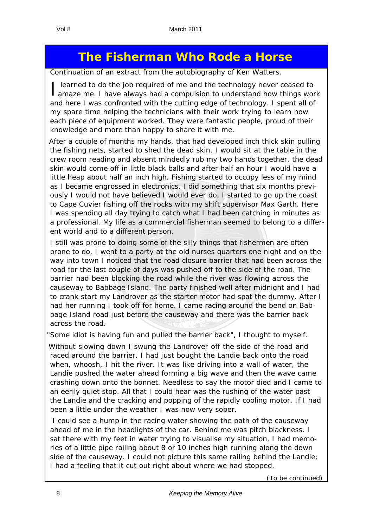# **The Fisherman Who Rode a Horse**

*Continuation of an extract from the autobiography of Ken Watters.*

I learned to do the job required of me and the technology never ceased to amaze me. I have always had a compulsion to understand how things work learned to do the job required of me and the technology never ceased to and here I was confronted with the cutting edge of technology. I spent all of my spare time helping the technicians with their work trying to learn how each piece of equipment worked. They were fantastic people, proud of their knowledge and more than happy to share it with me.

After a couple of months my hands, that had developed inch thick skin pulling the fishing nets, started to shed the dead skin. I would sit at the table in the crew room reading and absent mindedly rub my two hands together, the dead skin would come off in little black balls and after half an hour I would have a little heap about half an inch high. Fishing started to occupy less of my mind as I became engrossed in electronics. I did something that six months previously I would not have believed I would ever do, I started to go up the coast to Cape Cuvier fishing off the rocks with my shift supervisor Max Garth. Here I was spending all day trying to catch what I had been catching in minutes as a professional. My life as a commercial fisherman seemed to belong to a different world and to a different person.

I still was prone to doing some of the silly things that fishermen are often prone to do. I went to a party at the old nurses quarters one night and on the way into town I noticed that the road closure barrier that had been across the road for the last couple of days was pushed off to the side of the road. The barrier had been blocking the road while the river was flowing across the causeway to Babbage Island. The party finished well after midnight and I had to crank start my Landrover as the starter motor had spat the dummy. After I had her running I took off for home. I came racing around the bend on Babbage Island road just before the causeway and there was the barrier back across the road.

"Some idiot is having fun and pulled the barrier back", I thought to myself.

Without slowing down I swung the Landrover off the side of the road and raced around the barrier. I had just bought the Landie back onto the road when, whoosh, I hit the river. It was like driving into a wall of water, the Landie pushed the water ahead forming a big wave and then the wave came crashing down onto the bonnet. Needless to say the motor died and I came to an eerily quiet stop. All that I could hear was the rushing of the water past the Landie and the cracking and popping of the rapidly cooling motor. If I had been a little under the weather I was now very sober.

 I could see a hump in the racing water showing the path of the causeway ahead of me in the headlights of the car. Behind me was pitch blackness. I sat there with my feet in water trying to visualise my situation, I had memories of a little pipe railing about 8 or 10 inches high running along the down side of the causeway. I could not picture this same railing behind the Landie; I had a feeling that it cut out right about where we had stopped.

(*To be continued)*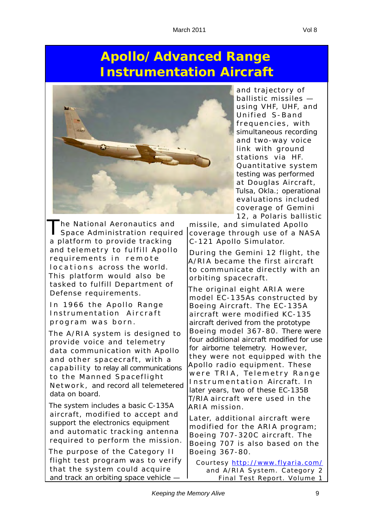# **Apollo/Advanced Range Instrumentation Aircraft**



The National Aeronautics and<br>Space Administration required a platform to provide tracking and telemetry to fulfill Apollo requirements in remote locations across the world. This platform would also be tasked to fulfill Department of Defense requirements.

In 1966 the Apollo Range Instrumentation Aircraft program was born.

The A/RIA system is designed to provide voice and telemetry data communication with Apollo and other spacecraft, with a c a p a bility to relay all communications to the Manned Spaceflight Network, and record all telemetered data on board.

The system includes a basic C-135A aircraft, modified to accept and support the electronics equipment and automatic tracking antenna required to perform the mission.

The purpose of the Category II flight test program was to verify that the system could acquire and track an orbiting space vehicle -

and trajectory of ballistic missiles using VHF, UHF, and Unified S-Band frequencies, with simultaneous recording and two-way voice link with ground stations via HF. Quantitative system testing was performed at Douglas Aircraft, Tulsa, Okla.; operational evaluations included coverage of Gemini 12, a Polaris ballistic

missile, and simulated Apollo coverage through use of a NASA C-121 Apollo Simulator.

During the Gemini 12 flight, the A/RIA became the first aircraft to communicate directly with an orbiting spacecraft.

The original eight ARIA were model EC-135As constructed by Boeing Aircraft. The EC-135A aircraft were modified KC-135 aircraft derived from the prototype Boeing model 367-80 . There were four additional aircraft modified for use for airborne telemetry. However, they were not equipped with the Apollo radio equipment. These were TRIA, Telemetry Range Instrumentation Aircraft. In later years, two of these EC-135B T/RIA aircraft were used in the ARIA mission.

Later, additional aircraft were modified for the ARIA program; Boeing 707-320C aircraft. The Boeing 707 is also based on the Boeing 367-80.

*Courtesy http://www.flyaria.com/ and A/RIA System. Category 2 Final Test Report. Volume 1*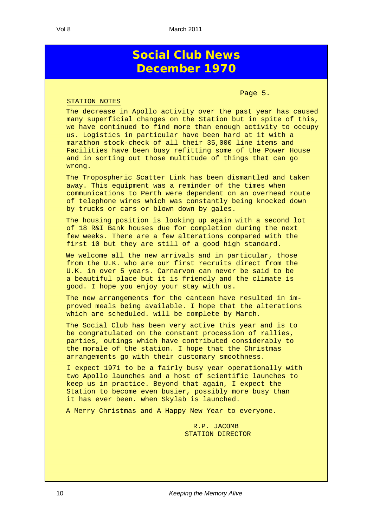### **Social Club News December 1970**

Page 5.

#### STATION NOTES

The decrease in Apollo activity over the past year has caused many superficial changes on the Station but in spite of this, we have continued to find more than enough activity to occupy us. Logistics in particular have been hard at it with a marathon stock-check of all their 35,000 line items and Facilities have been busy refitting some of the Power House and in sorting out those multitude of things that can go wrong.

The Tropospheric Scatter Link has been dismantled and taken away. This equipment was a reminder of the times when communications to Perth were dependent on an overhead route of telephone wires which was constantly being knocked down by trucks or cars or blown down by gales.

The housing position is looking up again with a second lot of 18 R&I Bank houses due for completion during the next few weeks. There are a few alterations compared with the first 10 but they are still of a good high standard.

We welcome all the new arrivals and in particular, those from the U.K. who are our first recruits direct from the U.K. in over 5 years. Carnarvon can never be said to be a beautiful place but it is friendly and the climate is good. I hope you enjoy your stay with us.

The new arrangements for the canteen have resulted in improved meals being available. I hope that the alterations which are scheduled. will be complete by March.

The Social Club has been very active this year and is to be congratulated on the constant procession of rallies, parties, outings which have contributed considerably to the morale of the station. I hope that the Christmas arrangements go with their customary smoothness.

I expect 1971 to be a fairly busy year operationally with two Apollo launches and a host of scientific launches to keep us in practice. Beyond that again, I expect the Station to become even busier, possibly more busy than it has ever been. when Skylab is launched.

A Merry Christmas and A Happy New Year to everyone.

 R.P. JACOMB STATION DIRECTOR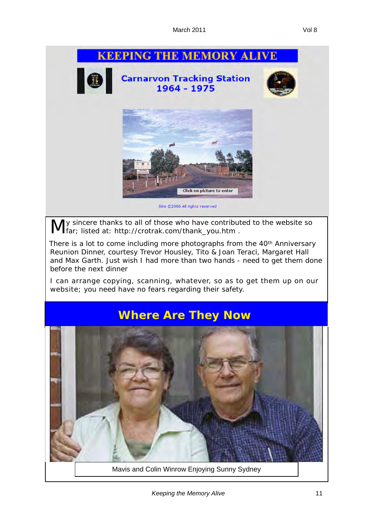